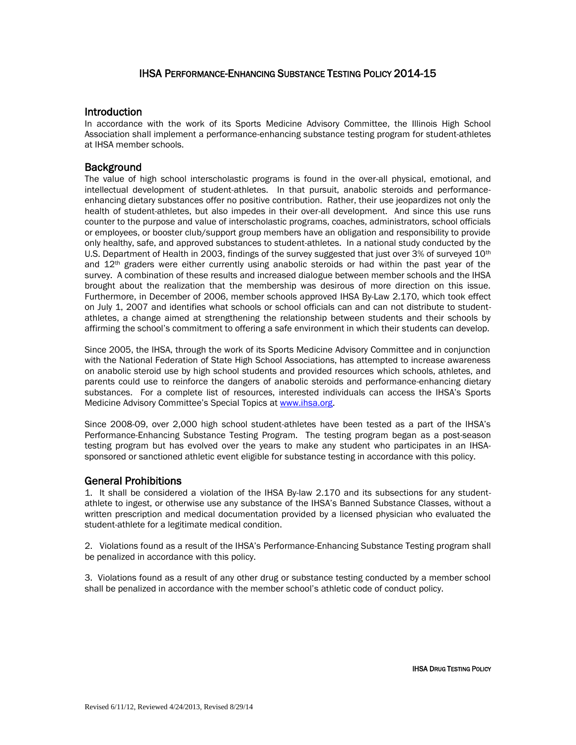# IHSA PERFORMANCE-ENHANCING SUBSTANCE TESTING POLICY 2014-15

### **Introduction**

In accordance with the work of its Sports Medicine Advisory Committee, the Illinois High School Association shall implement a performance-enhancing substance testing program for student-athletes at IHSA member schools.

## **Background**

The value of high school interscholastic programs is found in the over-all physical, emotional, and intellectual development of student-athletes. In that pursuit, anabolic steroids and performanceenhancing dietary substances offer no positive contribution. Rather, their use jeopardizes not only the health of student-athletes, but also impedes in their over-all development. And since this use runs counter to the purpose and value of interscholastic programs, coaches, administrators, school officials or employees, or booster club/support group members have an obligation and responsibility to provide only healthy, safe, and approved substances to student-athletes. In a national study conducted by the U.S. Department of Health in 2003, findings of the survey suggested that just over 3% of surveyed 10<sup>th</sup> and 12<sup>th</sup> graders were either currently using anabolic steroids or had within the past year of the survey. A combination of these results and increased dialogue between member schools and the IHSA brought about the realization that the membership was desirous of more direction on this issue. Furthermore, in December of 2006, member schools approved IHSA By-Law 2.170, which took effect on July 1, 2007 and identifies what schools or school officials can and can not distribute to studentathletes, a change aimed at strengthening the relationship between students and their schools by affirming the school's commitment to offering a safe environment in which their students can develop.

Since 2005, the IHSA, through the work of its Sports Medicine Advisory Committee and in conjunction with the National Federation of State High School Associations, has attempted to increase awareness on anabolic steroid use by high school students and provided resources which schools, athletes, and parents could use to reinforce the dangers of anabolic steroids and performance-enhancing dietary substances. For a complete list of resources, interested individuals can access the IHSA's Sports Medicine Advisory Committee's Special Topics at [www.ihsa.org.](http://www.ihsa.org/)

Since 2008-09, over 2,000 high school student-athletes have been tested as a part of the IHSA's Performance-Enhancing Substance Testing Program. The testing program began as a post-season testing program but has evolved over the years to make any student who participates in an IHSAsponsored or sanctioned athletic event eligible for substance testing in accordance with this policy.

## General Prohibitions

1. It shall be considered a violation of the IHSA By-law 2.170 and its subsections for any studentathlete to ingest, or otherwise use any substance of the IHSA's Banned Substance Classes, without a written prescription and medical documentation provided by a licensed physician who evaluated the student-athlete for a legitimate medical condition.

2. Violations found as a result of the IHSA's Performance-Enhancing Substance Testing program shall be penalized in accordance with this policy.

3. Violations found as a result of any other drug or substance testing conducted by a member school shall be penalized in accordance with the member school's athletic code of conduct policy.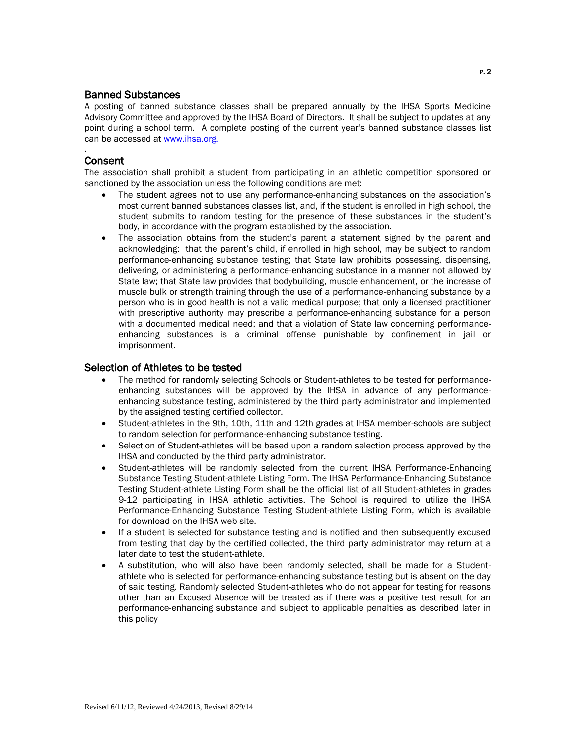## Banned Substances

A posting of banned substance classes shall be prepared annually by the IHSA Sports Medicine Advisory Committee and approved by the IHSA Board of Directors. It shall be subject to updates at any point during a school term. A complete posting of the current year's banned substance classes list can be accessed at [www.ihsa.org.](http://www.ihsa.org./)

## **Consent**

.

The association shall prohibit a student from participating in an athletic competition sponsored or sanctioned by the association unless the following conditions are met:

- The student agrees not to use any performance-enhancing substances on the association's most current banned substances classes list, and, if the student is enrolled in high school, the student submits to random testing for the presence of these substances in the student's body, in accordance with the program established by the association.
- The association obtains from the student's parent a statement signed by the parent and acknowledging: that the parent's child, if enrolled in high school, may be subject to random performance-enhancing substance testing; that State law prohibits possessing, dispensing, delivering, or administering a performance-enhancing substance in a manner not allowed by State law; that State law provides that bodybuilding, muscle enhancement, or the increase of muscle bulk or strength training through the use of a performance-enhancing substance by a person who is in good health is not a valid medical purpose; that only a licensed practitioner with prescriptive authority may prescribe a performance-enhancing substance for a person with a documented medical need; and that a violation of State law concerning performanceenhancing substances is a criminal offense punishable by confinement in jail or imprisonment.

## Selection of Athletes to be tested

- The method for randomly selecting Schools or Student-athletes to be tested for performanceenhancing substances will be approved by the IHSA in advance of any performanceenhancing substance testing, administered by the third party administrator and implemented by the assigned testing certified collector.
- Student-athletes in the 9th, 10th, 11th and 12th grades at IHSA member-schools are subject to random selection for performance-enhancing substance testing.
- Selection of Student-athletes will be based upon a random selection process approved by the IHSA and conducted by the third party administrator.
- Student-athletes will be randomly selected from the current IHSA Performance-Enhancing Substance Testing Student-athlete Listing Form. The IHSA Performance-Enhancing Substance Testing Student-athlete Listing Form shall be the official list of all Student-athletes in grades 9-12 participating in IHSA athletic activities. The School is required to utilize the IHSA Performance-Enhancing Substance Testing Student-athlete Listing Form, which is available for download on the IHSA web site.
- If a student is selected for substance testing and is notified and then subsequently excused from testing that day by the certified collected, the third party administrator may return at a later date to test the student-athlete.
- A substitution, who will also have been randomly selected, shall be made for a Studentathlete who is selected for performance-enhancing substance testing but is absent on the day of said testing. Randomly selected Student-athletes who do not appear for testing for reasons other than an Excused Absence will be treated as if there was a positive test result for an performance-enhancing substance and subject to applicable penalties as described later in this policy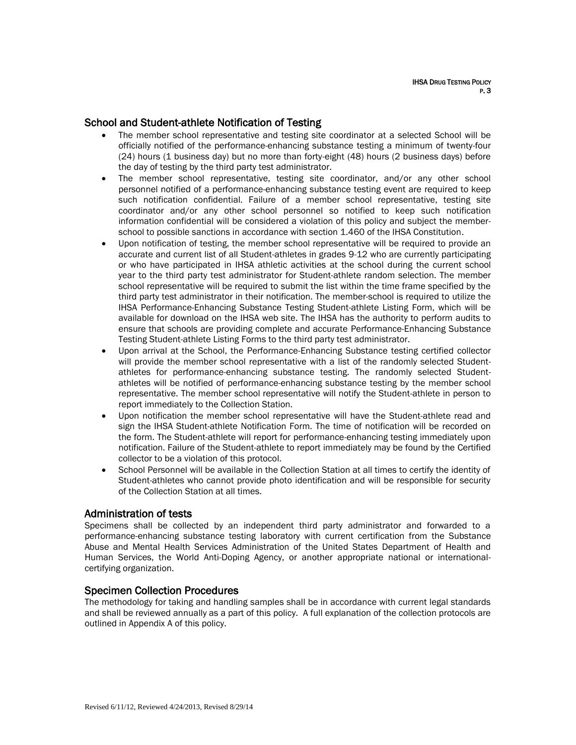# School and Student-athlete Notification of Testing

- The member school representative and testing site coordinator at a selected School will be officially notified of the performance-enhancing substance testing a minimum of twenty-four (24) hours (1 business day) but no more than forty-eight (48) hours (2 business days) before the day of testing by the third party test administrator.
- The member school representative, testing site coordinator, and/or any other school personnel notified of a performance-enhancing substance testing event are required to keep such notification confidential. Failure of a member school representative, testing site coordinator and/or any other school personnel so notified to keep such notification information confidential will be considered a violation of this policy and subject the memberschool to possible sanctions in accordance with section 1.460 of the IHSA Constitution.
- Upon notification of testing, the member school representative will be required to provide an accurate and current list of all Student-athletes in grades 9-12 who are currently participating or who have participated in IHSA athletic activities at the school during the current school year to the third party test administrator for Student-athlete random selection. The member school representative will be required to submit the list within the time frame specified by the third party test administrator in their notification. The member-school is required to utilize the IHSA Performance-Enhancing Substance Testing Student-athlete Listing Form, which will be available for download on the IHSA web site. The IHSA has the authority to perform audits to ensure that schools are providing complete and accurate Performance-Enhancing Substance Testing Student-athlete Listing Forms to the third party test administrator.
- Upon arrival at the School, the Performance-Enhancing Substance testing certified collector will provide the member school representative with a list of the randomly selected Studentathletes for performance-enhancing substance testing. The randomly selected Studentathletes will be notified of performance-enhancing substance testing by the member school representative. The member school representative will notify the Student-athlete in person to report immediately to the Collection Station.
- Upon notification the member school representative will have the Student-athlete read and sign the IHSA Student-athlete Notification Form. The time of notification will be recorded on the form. The Student-athlete will report for performance-enhancing testing immediately upon notification. Failure of the Student-athlete to report immediately may be found by the Certified collector to be a violation of this protocol.
- School Personnel will be available in the Collection Station at all times to certify the identity of Student-athletes who cannot provide photo identification and will be responsible for security of the Collection Station at all times.

### Administration of tests

Specimens shall be collected by an independent third party administrator and forwarded to a performance-enhancing substance testing laboratory with current certification from the Substance Abuse and Mental Health Services Administration of the United States Department of Health and Human Services, the World Anti-Doping Agency, or another appropriate national or internationalcertifying organization.

### Specimen Collection Procedures

The methodology for taking and handling samples shall be in accordance with current legal standards and shall be reviewed annually as a part of this policy. A full explanation of the collection protocols are outlined in Appendix A of this policy.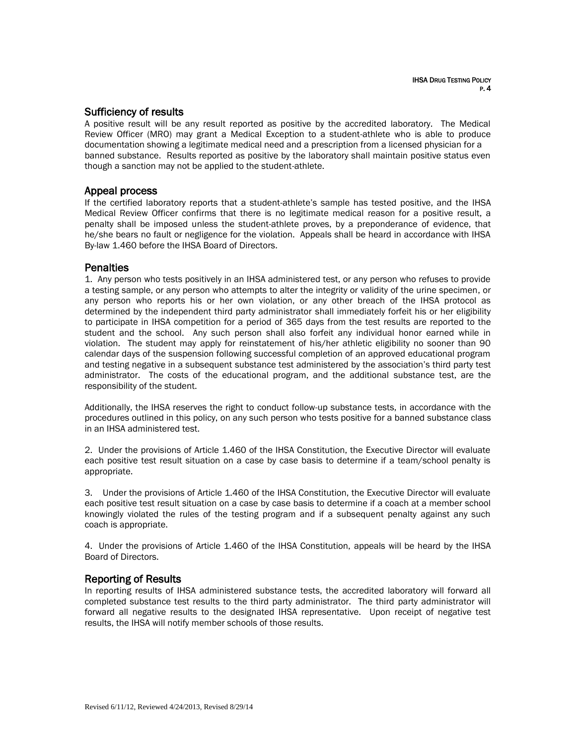### Sufficiency of results

A positive result will be any result reported as positive by the accredited laboratory. The Medical Review Officer (MRO) may grant a Medical Exception to a student-athlete who is able to produce documentation showing a legitimate medical need and a prescription from a licensed physician for a banned substance. Results reported as positive by the laboratory shall maintain positive status even though a sanction may not be applied to the student-athlete.

## Appeal process

If the certified laboratory reports that a student-athlete's sample has tested positive, and the IHSA Medical Review Officer confirms that there is no legitimate medical reason for a positive result, a penalty shall be imposed unless the student-athlete proves, by a preponderance of evidence, that he/she bears no fault or negligence for the violation. Appeals shall be heard in accordance with IHSA By-law 1.460 before the IHSA Board of Directors.

### **Penalties**

1. Any person who tests positively in an IHSA administered test, or any person who refuses to provide a testing sample, or any person who attempts to alter the integrity or validity of the urine specimen, or any person who reports his or her own violation, or any other breach of the IHSA protocol as determined by the independent third party administrator shall immediately forfeit his or her eligibility to participate in IHSA competition for a period of 365 days from the test results are reported to the student and the school. Any such person shall also forfeit any individual honor earned while in violation. The student may apply for reinstatement of his/her athletic eligibility no sooner than 90 calendar days of the suspension following successful completion of an approved educational program and testing negative in a subsequent substance test administered by the association's third party test administrator. The costs of the educational program, and the additional substance test, are the responsibility of the student.

Additionally, the IHSA reserves the right to conduct follow-up substance tests, in accordance with the procedures outlined in this policy, on any such person who tests positive for a banned substance class in an IHSA administered test.

2. Under the provisions of Article 1.460 of the IHSA Constitution, the Executive Director will evaluate each positive test result situation on a case by case basis to determine if a team/school penalty is appropriate.

3. Under the provisions of Article 1.460 of the IHSA Constitution, the Executive Director will evaluate each positive test result situation on a case by case basis to determine if a coach at a member school knowingly violated the rules of the testing program and if a subsequent penalty against any such coach is appropriate.

4. Under the provisions of Article 1.460 of the IHSA Constitution, appeals will be heard by the IHSA Board of Directors.

## Reporting of Results

In reporting results of IHSA administered substance tests, the accredited laboratory will forward all completed substance test results to the third party administrator. The third party administrator will forward all negative results to the designated IHSA representative. Upon receipt of negative test results, the IHSA will notify member schools of those results.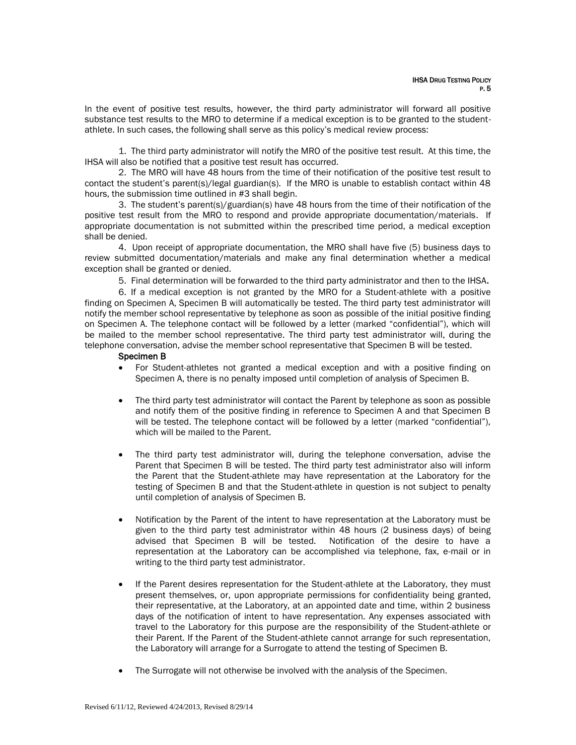In the event of positive test results, however, the third party administrator will forward all positive substance test results to the MRO to determine if a medical exception is to be granted to the studentathlete. In such cases, the following shall serve as this policy's medical review process:

1. The third party administrator will notify the MRO of the positive test result. At this time, the IHSA will also be notified that a positive test result has occurred.

2. The MRO will have 48 hours from the time of their notification of the positive test result to contact the student's parent(s)/legal guardian(s). If the MRO is unable to establish contact within 48 hours, the submission time outlined in #3 shall begin.

3. The student's parent(s)/guardian(s) have 48 hours from the time of their notification of the positive test result from the MRO to respond and provide appropriate documentation/materials. If appropriate documentation is not submitted within the prescribed time period, a medical exception shall be denied.

4. Upon receipt of appropriate documentation, the MRO shall have five (5) business days to review submitted documentation/materials and make any final determination whether a medical exception shall be granted or denied.

5. Final determination will be forwarded to the third party administrator and then to the IHSA.

6. If a medical exception is not granted by the MRO for a Student-athlete with a positive finding on Specimen A, Specimen B will automatically be tested. The third party test administrator will notify the member school representative by telephone as soon as possible of the initial positive finding on Specimen A. The telephone contact will be followed by a letter (marked "confidential"), which will be mailed to the member school representative. The third party test administrator will, during the telephone conversation, advise the member school representative that Specimen B will be tested.

### Specimen B

- For Student-athletes not granted a medical exception and with a positive finding on Specimen A, there is no penalty imposed until completion of analysis of Specimen B.
- The third party test administrator will contact the Parent by telephone as soon as possible and notify them of the positive finding in reference to Specimen A and that Specimen B will be tested. The telephone contact will be followed by a letter (marked "confidential"), which will be mailed to the Parent.
- The third party test administrator will, during the telephone conversation, advise the Parent that Specimen B will be tested. The third party test administrator also will inform the Parent that the Student-athlete may have representation at the Laboratory for the testing of Specimen B and that the Student-athlete in question is not subject to penalty until completion of analysis of Specimen B.
- Notification by the Parent of the intent to have representation at the Laboratory must be given to the third party test administrator within 48 hours (2 business days) of being advised that Specimen B will be tested. Notification of the desire to have a representation at the Laboratory can be accomplished via telephone, fax, e-mail or in writing to the third party test administrator.
- If the Parent desires representation for the Student-athlete at the Laboratory, they must present themselves, or, upon appropriate permissions for confidentiality being granted, their representative, at the Laboratory, at an appointed date and time, within 2 business days of the notification of intent to have representation. Any expenses associated with travel to the Laboratory for this purpose are the responsibility of the Student-athlete or their Parent. If the Parent of the Student-athlete cannot arrange for such representation, the Laboratory will arrange for a Surrogate to attend the testing of Specimen B.
- The Surrogate will not otherwise be involved with the analysis of the Specimen.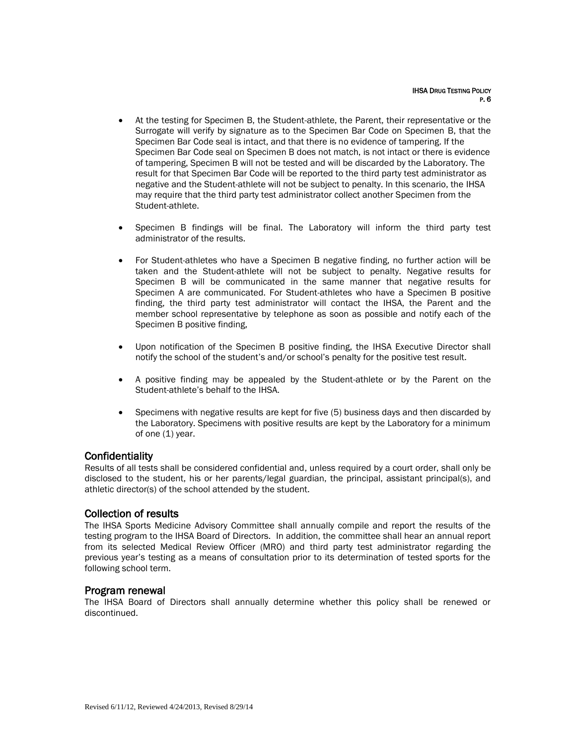- At the testing for Specimen B, the Student-athlete, the Parent, their representative or the Surrogate will verify by signature as to the Specimen Bar Code on Specimen B, that the Specimen Bar Code seal is intact, and that there is no evidence of tampering. If the Specimen Bar Code seal on Specimen B does not match, is not intact or there is evidence of tampering, Specimen B will not be tested and will be discarded by the Laboratory. The result for that Specimen Bar Code will be reported to the third party test administrator as negative and the Student-athlete will not be subject to penalty. In this scenario, the IHSA may require that the third party test administrator collect another Specimen from the Student-athlete.
- Specimen B findings will be final. The Laboratory will inform the third party test administrator of the results.
- For Student-athletes who have a Specimen B negative finding, no further action will be taken and the Student-athlete will not be subject to penalty. Negative results for Specimen B will be communicated in the same manner that negative results for Specimen A are communicated. For Student-athletes who have a Specimen B positive finding, the third party test administrator will contact the IHSA, the Parent and the member school representative by telephone as soon as possible and notify each of the Specimen B positive finding,
- Upon notification of the Specimen B positive finding, the IHSA Executive Director shall notify the school of the student's and/or school's penalty for the positive test result.
- A positive finding may be appealed by the Student-athlete or by the Parent on the Student-athlete's behalf to the IHSA.
- Specimens with negative results are kept for five (5) business days and then discarded by the Laboratory. Specimens with positive results are kept by the Laboratory for a minimum of one (1) year.

## **Confidentiality**

Results of all tests shall be considered confidential and, unless required by a court order, shall only be disclosed to the student, his or her parents/legal guardian, the principal, assistant principal(s), and athletic director(s) of the school attended by the student.

### Collection of results

The IHSA Sports Medicine Advisory Committee shall annually compile and report the results of the testing program to the IHSA Board of Directors. In addition, the committee shall hear an annual report from its selected Medical Review Officer (MRO) and third party test administrator regarding the previous year's testing as a means of consultation prior to its determination of tested sports for the following school term.

### Program renewal

The IHSA Board of Directors shall annually determine whether this policy shall be renewed or discontinued.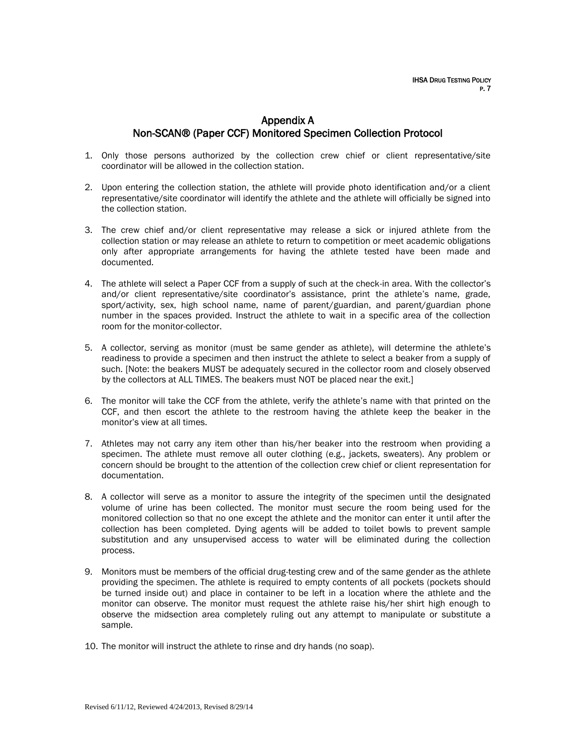# Appendix A Non-SCAN® (Paper CCF) Monitored Specimen Collection Protocol

- 1. Only those persons authorized by the collection crew chief or client representative/site coordinator will be allowed in the collection station.
- 2. Upon entering the collection station, the athlete will provide photo identification and/or a client representative/site coordinator will identify the athlete and the athlete will officially be signed into the collection station.
- 3. The crew chief and/or client representative may release a sick or injured athlete from the collection station or may release an athlete to return to competition or meet academic obligations only after appropriate arrangements for having the athlete tested have been made and documented.
- 4. The athlete will select a Paper CCF from a supply of such at the check-in area. With the collector's and/or client representative/site coordinator's assistance, print the athlete's name, grade, sport/activity, sex, high school name, name of parent/guardian, and parent/guardian phone number in the spaces provided. Instruct the athlete to wait in a specific area of the collection room for the monitor-collector.
- 5. A collector, serving as monitor (must be same gender as athlete), will determine the athlete's readiness to provide a specimen and then instruct the athlete to select a beaker from a supply of such. [Note: the beakers MUST be adequately secured in the collector room and closely observed by the collectors at ALL TIMES. The beakers must NOT be placed near the exit.]
- 6. The monitor will take the CCF from the athlete, verify the athlete's name with that printed on the CCF, and then escort the athlete to the restroom having the athlete keep the beaker in the monitor's view at all times.
- 7. Athletes may not carry any item other than his/her beaker into the restroom when providing a specimen. The athlete must remove all outer clothing (e.g., jackets, sweaters). Any problem or concern should be brought to the attention of the collection crew chief or client representation for documentation.
- 8. A collector will serve as a monitor to assure the integrity of the specimen until the designated volume of urine has been collected. The monitor must secure the room being used for the monitored collection so that no one except the athlete and the monitor can enter it until after the collection has been completed. Dying agents will be added to toilet bowls to prevent sample substitution and any unsupervised access to water will be eliminated during the collection process.
- 9. Monitors must be members of the official drug-testing crew and of the same gender as the athlete providing the specimen. The athlete is required to empty contents of all pockets (pockets should be turned inside out) and place in container to be left in a location where the athlete and the monitor can observe. The monitor must request the athlete raise his/her shirt high enough to observe the midsection area completely ruling out any attempt to manipulate or substitute a sample.
- 10. The monitor will instruct the athlete to rinse and dry hands (no soap).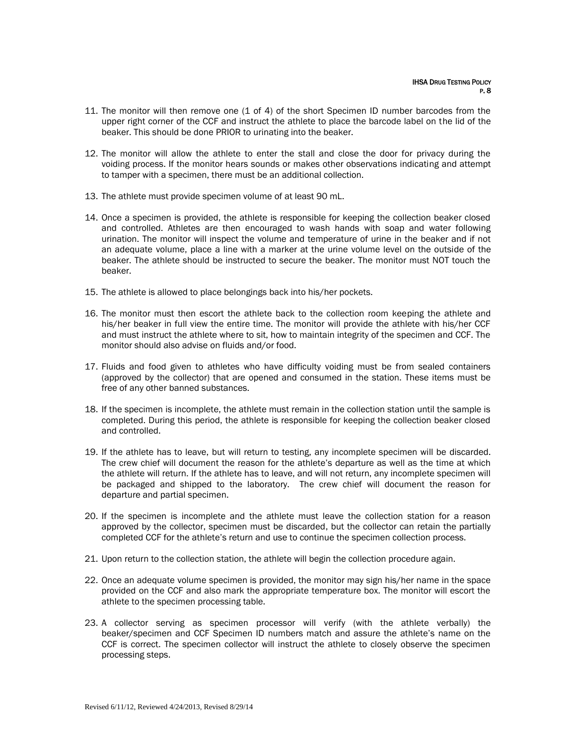- 11. The monitor will then remove one (1 of 4) of the short Specimen ID number barcodes from the upper right corner of the CCF and instruct the athlete to place the barcode label on the lid of the beaker. This should be done PRIOR to urinating into the beaker.
- 12. The monitor will allow the athlete to enter the stall and close the door for privacy during the voiding process. If the monitor hears sounds or makes other observations indicating and attempt to tamper with a specimen, there must be an additional collection.
- 13. The athlete must provide specimen volume of at least 90 mL.
- 14. Once a specimen is provided, the athlete is responsible for keeping the collection beaker closed and controlled. Athletes are then encouraged to wash hands with soap and water following urination. The monitor will inspect the volume and temperature of urine in the beaker and if not an adequate volume, place a line with a marker at the urine volume level on the outside of the beaker. The athlete should be instructed to secure the beaker. The monitor must NOT touch the beaker.
- 15. The athlete is allowed to place belongings back into his/her pockets.
- 16. The monitor must then escort the athlete back to the collection room keeping the athlete and his/her beaker in full view the entire time. The monitor will provide the athlete with his/her CCF and must instruct the athlete where to sit, how to maintain integrity of the specimen and CCF. The monitor should also advise on fluids and/or food.
- 17. Fluids and food given to athletes who have difficulty voiding must be from sealed containers (approved by the collector) that are opened and consumed in the station. These items must be free of any other banned substances.
- 18. If the specimen is incomplete, the athlete must remain in the collection station until the sample is completed. During this period, the athlete is responsible for keeping the collection beaker closed and controlled.
- 19. If the athlete has to leave, but will return to testing, any incomplete specimen will be discarded. The crew chief will document the reason for the athlete's departure as well as the time at which the athlete will return. If the athlete has to leave, and will not return, any incomplete specimen will be packaged and shipped to the laboratory. The crew chief will document the reason for departure and partial specimen.
- 20. If the specimen is incomplete and the athlete must leave the collection station for a reason approved by the collector, specimen must be discarded, but the collector can retain the partially completed CCF for the athlete's return and use to continue the specimen collection process.
- 21. Upon return to the collection station, the athlete will begin the collection procedure again.
- 22. Once an adequate volume specimen is provided, the monitor may sign his/her name in the space provided on the CCF and also mark the appropriate temperature box. The monitor will escort the athlete to the specimen processing table.
- 23. A collector serving as specimen processor will verify (with the athlete verbally) the beaker/specimen and CCF Specimen ID numbers match and assure the athlete's name on the CCF is correct. The specimen collector will instruct the athlete to closely observe the specimen processing steps.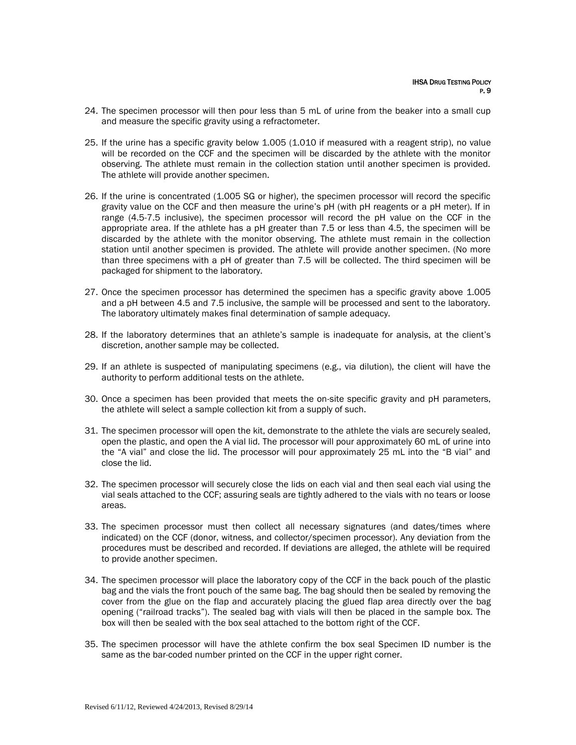- 24. The specimen processor will then pour less than 5 mL of urine from the beaker into a small cup and measure the specific gravity using a refractometer.
- 25. If the urine has a specific gravity below 1.005 (1.010 if measured with a reagent strip), no value will be recorded on the CCF and the specimen will be discarded by the athlete with the monitor observing. The athlete must remain in the collection station until another specimen is provided. The athlete will provide another specimen.
- 26. If the urine is concentrated (1.005 SG or higher), the specimen processor will record the specific gravity value on the CCF and then measure the urine's pH (with pH reagents or a pH meter). If in range (4.5-7.5 inclusive), the specimen processor will record the pH value on the CCF in the appropriate area. If the athlete has a pH greater than 7.5 or less than 4.5, the specimen will be discarded by the athlete with the monitor observing. The athlete must remain in the collection station until another specimen is provided. The athlete will provide another specimen. (No more than three specimens with a pH of greater than 7.5 will be collected. The third specimen will be packaged for shipment to the laboratory.
- 27. Once the specimen processor has determined the specimen has a specific gravity above 1.005 and a pH between 4.5 and 7.5 inclusive, the sample will be processed and sent to the laboratory. The laboratory ultimately makes final determination of sample adequacy.
- 28. If the laboratory determines that an athlete's sample is inadequate for analysis, at the client's discretion, another sample may be collected.
- 29. If an athlete is suspected of manipulating specimens (e.g., via dilution), the client will have the authority to perform additional tests on the athlete.
- 30. Once a specimen has been provided that meets the on-site specific gravity and pH parameters, the athlete will select a sample collection kit from a supply of such.
- 31. The specimen processor will open the kit, demonstrate to the athlete the vials are securely sealed, open the plastic, and open the A vial lid. The processor will pour approximately 60 mL of urine into the "A vial" and close the lid. The processor will pour approximately 25 mL into the "B vial" and close the lid.
- 32. The specimen processor will securely close the lids on each vial and then seal each vial using the vial seals attached to the CCF; assuring seals are tightly adhered to the vials with no tears or loose areas.
- 33. The specimen processor must then collect all necessary signatures (and dates/times where indicated) on the CCF (donor, witness, and collector/specimen processor). Any deviation from the procedures must be described and recorded. If deviations are alleged, the athlete will be required to provide another specimen.
- 34. The specimen processor will place the laboratory copy of the CCF in the back pouch of the plastic bag and the vials the front pouch of the same bag. The bag should then be sealed by removing the cover from the glue on the flap and accurately placing the glued flap area directly over the bag opening ("railroad tracks"). The sealed bag with vials will then be placed in the sample box. The box will then be sealed with the box seal attached to the bottom right of the CCF.
- 35. The specimen processor will have the athlete confirm the box seal Specimen ID number is the same as the bar-coded number printed on the CCF in the upper right corner.